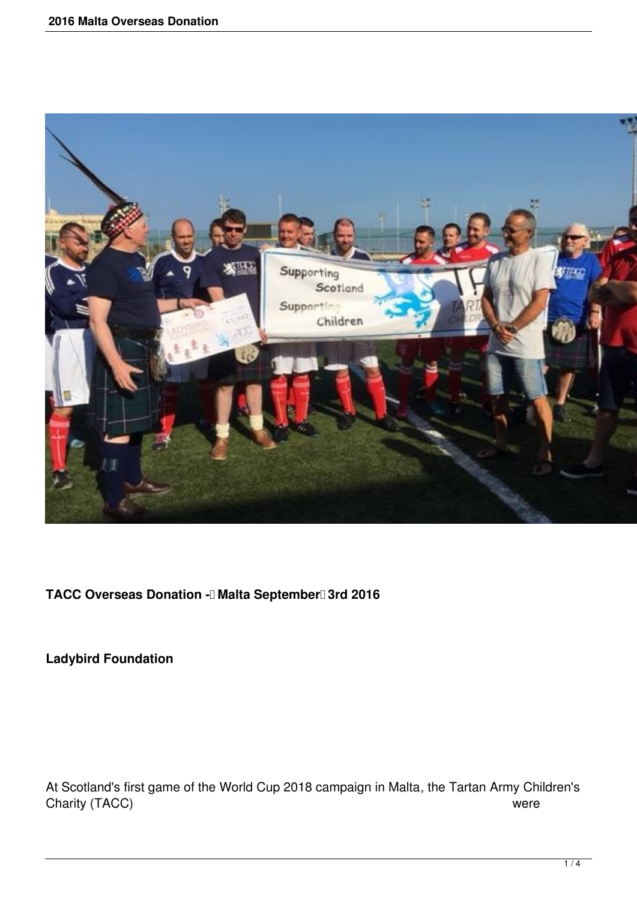

## TACC Overseas Donation - Malta September<sup>1</sup> 3rd 2016

**Ladybird Foundation**

At Scotland's first game of the World Cup 2018 campaign in Malta, the Tartan Army Children's Charity (TACC) were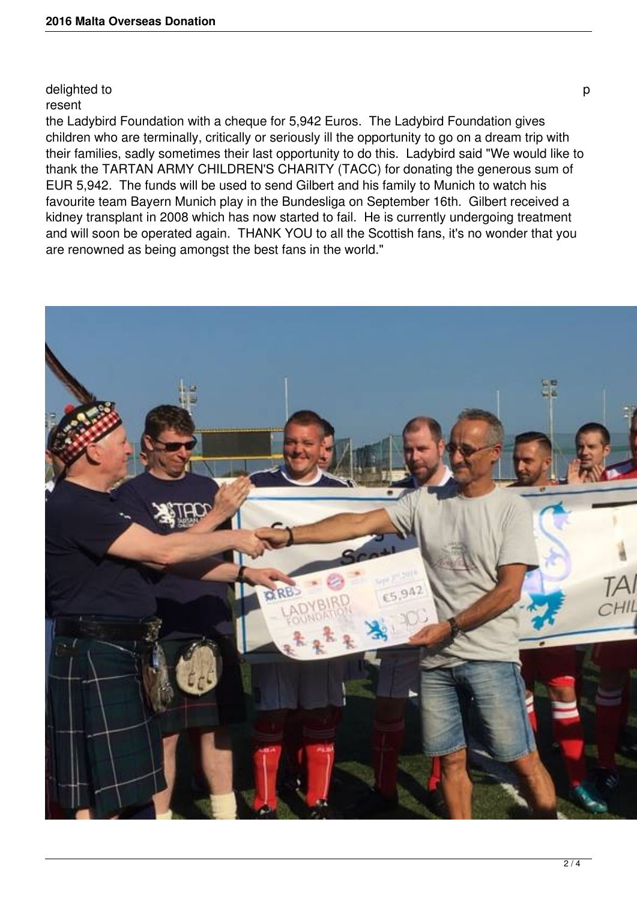## delighted to p

## resent

the Ladybird Foundation with a cheque for 5,942 Euros. The Ladybird Foundation gives children who are terminally, critically or seriously ill the opportunity to go on a dream trip with their families, sadly sometimes their last opportunity to do this. Ladybird said "We would like to thank the TARTAN ARMY CHILDREN'S CHARITY (TACC) for donating the generous sum of EUR 5,942. The funds will be used to send Gilbert and his family to Munich to watch his favourite team Bayern Munich play in the Bundesliga on September 16th. Gilbert received a kidney transplant in 2008 which has now started to fail. He is currently undergoing treatment and will soon be operated again. THANK YOU to all the Scottish fans, it's no wonder that you are renowned as being amongst the best fans in the world."